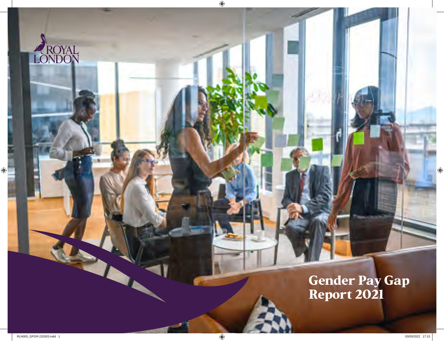Gender Pay Gap Report 2021

ROYAL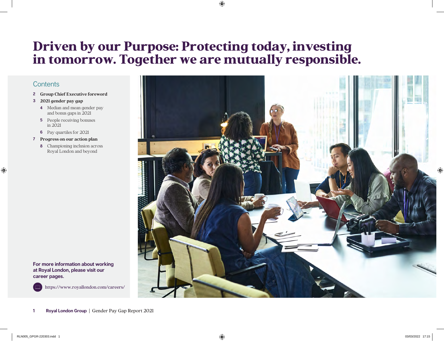# Driven by our Purpose: Protecting today, investing in tomorrow. Together we are mutually responsible.

# **Contents**

- **2 Group Chief Executive foreword**
- **3 2021 gender pay gap** 
	- **4** Median and mean gender pay and bonus gaps in 2021
	- **5** People receiving bonuses in 2021
	- **6** Pay quartiles for 2021
- **7 Progress on our action plan** 
	- **8** Championing inclusion across Royal London and beyond

**For more information about working at Royal London, please visit our career pages.**



https://www.royallondon.com/careers/

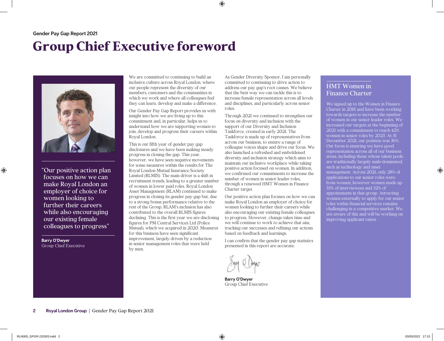# Group Chief Executive foreword



"Our positive action plan focuses on how we can make Royal London an employer of choice for women looking to further their careers while also encouraging our existing female colleagues to progress"

**Barry O'Dwyer** Group Chief Executive

We are committed to continuing to build an inclusive culture across Royal London, where our people represent the diversity of our members, customers and the communities in which we work and where all colleagues feel they can learn, develop and make a difference.

Our Gender Pay Gap Report provides us with insight into how we are living up to this commitment and, in particular, helps us to understand how we are supporting women to join, develop and progress their careers within Royal London.

This is our fifth year of gender pay gap disclosures and we have been making steady progress in closing the gap. This year, however, we have seen negative movements for some measures within the results for The Royal London Mutual Insurance Society Limited (RLMIS). The main driver is a shift in recruitment trends, leading to a greater number of women in lower paid roles. Royal London Asset Management (RLAM) continued to make progress in closing its gender pay gap but, due to a strong bonus performance relative to the rest of the Group, RLAM's inclusion has also contributed to the overall RLMIS figures declining. This is the first year we are disclosing figures for PM Central Services Ltd (Police Mutual), which we acquired in 2020. Measures for this business have seen significant improvement, largely driven by a reduction in senior management roles that were held by men.

As Gender Diversity Sponsor, I am personally committed to continuing to drive action to address our pay gap's root causes. We believe that the best way we can tackle this is to increase female representation across all levels and disciplines, and particularly across senior roles.

Through 2021 we continued to strengthen our focus on diversity and inclusion with the support of our Diversity and Inclusion Taskforce, created in early 2021. The Taskforce is made up of representatives from across our business, to ensure a range of colleague voices shape and drive our focus. We also launched a refreshed and emboldened diversity and inclusion strategy which aims to maintain our inclusive workplace while taking positive action focused on women. In addition, we confirmed our commitments to increase the number of women in senior leader roles, through a renewed HMT Women in Finance Charter target.

Our positive action plan focuses on how we can make Royal London an employer of choice for women looking to further their careers while also encouraging our existing female colleagues to progress. However, change takes time and we will continue to work to achieve that aim, tracking our successes and refining our actions based on feedback and learnings.

I can confirm that the gender pay gap statistics presented in this report are accurate.

**Barry O'Dwyer** Group Chief Executive

## HMT Women in Finance Charter

We signed up to the Women in Finance Charter in 2016 and have been working towards targets to increase the number of women in our senior leader roles. We increased our targets at the beginning of 2021 with a commitment to reach 42% women in senior roles by 2025. At 31 December 2021, our position was 36%. Our focus is ensuring we have good representation across all of our business areas, including those whose talent pools are traditionally largely male-dominated, such as technology and asset management. Across 2021, only 28% of applications to our senior roles were from women; however women made up 33% of interviewees and 32% of appointments in that group. Attracting women externally to apply for our senior roles within financial services remains challenging in a competitive market. We are aware of this and will be working on improving applicant ratios.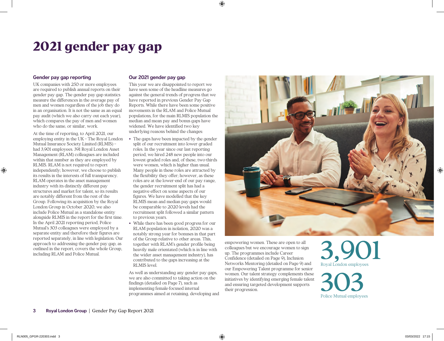# 2021 gender pay gap

## **Gender pay gap reporting**

UK companies with 250 or more employees are required to publish annual reports on their gender pay gap. The gender pay gap statistics measure the differences in the average pay of men and women regardless of the job they do in an organisation. It is not the same as an equal pay audit (which we also carry out each year), which compares the pay of men and women who do the same, or similar, work.

At the time of reporting, to April 2021, our employing entity in the UK – The Royal London Mutual Insurance Society Limited (RLMIS) – had 3,901 employees. 391 Royal London Asset Management (RLAM) colleagues are included within that number as they are employed by RLMIS. RLAM is not required to report independently; however, we choose to publish its results in the interests of full transparency. RLAM operates in the asset management industry with its distinctly different pay structures and market for talent, so its results are notably different from the rest of the Group. Following its acquisition by the Royal London Group in October 2020, we also include Police Mutual as a standalone entity alongside RLMIS in the report for the first time. In the April 2021 reporting period, Police Mutual's 303 colleagues were employed by a separate entity and therefore their figures are reported separately, in line with legislation. Our approach to addressing the gender pay gap, as outlined in the report, covers the whole Group, including RLAM and Police Mutual.

## **Our 2021 gender pay gap**

This year we are disappointed to report we have seen some of the headline measures go against the general trends of progress that we have reported in previous Gender Pay Gap Reports. While there have been some positive movements in the RLAM and Police Mutual populations, for the main RLMIS population the median and mean pay and bonus gaps have widened. We have identified two key underlying reasons behind the changes:

- The gaps have been impacted by the gender split of our recruitment into lower graded roles. In the year since our last reporting period, we hired 248 new people into our lowest graded roles and, of these, two-thirds were women, which is higher than usual. Many people in these roles are attracted by the flexibility they offer; however, as these roles are at the lower-end of our pay range, the gender recruitment split has had a negative effect on some aspects of our figures. We have modelled that the key RLMIS mean and median pay gaps would be comparable to 2020 levels had the recruitment split followed a similar pattern to previous years.
- While there has been good progress for our RLAM population in isolation, 2020 was a notably strong year for bonuses in that part of the Group relative to other areas. This, together with RLAM's gender profile being heavily male orientated (which is in line with the wider asset management industry), has contributed to the gaps increasing at the RLMIS level.

As well as understanding any gender pay gaps, we are also committed to taking action on the findings (detailed on Page 7), such as implementing female-focused internal programmes aimed at retaining, developing and



empowering women. These are open to all colleagues but we encourage women to sign up. The programmes include Career Confidence (detailed on Page 9), Inclusion Networks Mentoring (detailed on Page 9) and our Empowering Talent programme for senior women. Our talent strategy complements these initiatives by identifying emerging female talent and ensuring targeted development supports their progression

3,901 Royal London employees

303 Police Mutual employees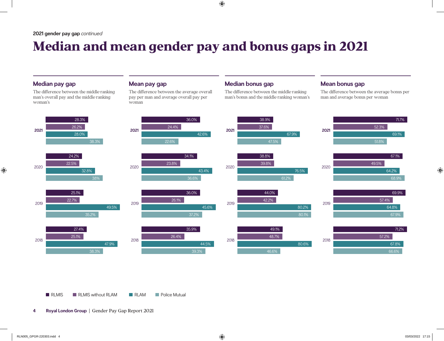# Median and mean gender pay and bonus gaps in 2021

## **Median pay gap**

The difference between the middle-ranking man's overall pay and the middle-ranking woman's

## **Mean pay gap**

The difference between the average overall pay per man and average overall pay per woman

## **Median bonus gap**

The difference between the middle-ranking man's bonus and the middle-ranking woman's

## **Mean bonus gap**

The difference between the average bonus per man and average bonus per woman

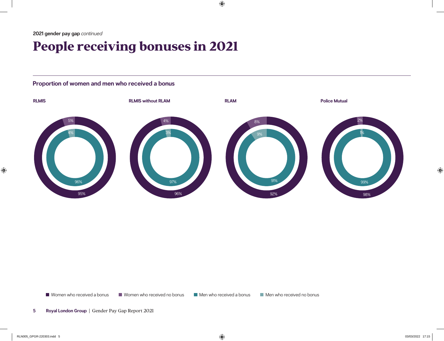# People receiving bonuses in 2021

# **Proportion of women and men who received a bonus**



■ Women who received a bonus ■ Women who received no bonus ■ Men who received a bonus Men who received no bonus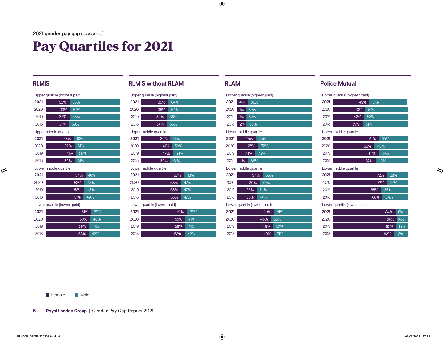# Pay Quartiles for 2021

| Upper quartile (highest paid) |                       |     |     |  |  |  |
|-------------------------------|-----------------------|-----|-----|--|--|--|
| 2021                          | 32%                   |     | 68% |  |  |  |
| 2020                          | 33%                   |     | 67% |  |  |  |
| 2019                          | 32%                   |     | 68% |  |  |  |
| 2018                          | 31%                   | 69% |     |  |  |  |
|                               | Upper middle quartile |     |     |  |  |  |
| 2021                          | 38%                   |     | 62% |  |  |  |
| 2020                          | 39%                   |     | 61% |  |  |  |
| 2019                          |                       | 41% | 59% |  |  |  |
| 2018                          | 39%                   |     | 61% |  |  |  |

|  |  | Lower middle quartile |
|--|--|-----------------------|
|--|--|-----------------------|

| 2021 | 54% | 46% |
|------|-----|-----|
| 2020 | 52% | 48% |
| 2019 | 52% | 48% |
| 2018 | 51% | 49% |

| 2021 | 61% | 39% |
|------|-----|-----|
| 2020 | 60% | 40% |
| 2019 | 59% | 41% |
| 2018 | 58% | 42% |

# **RLMIS RLMIS RLMIS** without **RLAM RLAM RLAM Police Mutual**

|                              | Upper quartile (highest paid) |  |  |  |
|------------------------------|-------------------------------|--|--|--|
| 2021                         | 36%<br>64%                    |  |  |  |
| 2020                         | 36%<br>64%                    |  |  |  |
| 2019                         | 34%<br>66%                    |  |  |  |
| 2018                         | 34%<br>66%                    |  |  |  |
|                              | Upper middle quartile         |  |  |  |
| 2021                         | 61%<br>39%                    |  |  |  |
| 2020                         | 41%<br>59%                    |  |  |  |
| 2019                         | 58%<br>42%                    |  |  |  |
| 2018                         | 39%<br>61%                    |  |  |  |
| Lower middle quartile        |                               |  |  |  |
| 2021                         | 57%<br>43%                    |  |  |  |
| 2020                         | 53%<br>47%                    |  |  |  |
| 2019                         | 53%<br>47%                    |  |  |  |
| 2018                         | 53%<br>47%                    |  |  |  |
| Lower quartile (lowest paid) |                               |  |  |  |
| 2021                         | 61%<br>39%                    |  |  |  |

| 2021 | 61%<br>39% |
|------|------------|
| 2020 | 59%<br>41% |
| 2019 | 59%<br>41% |
| 2018 | 58%<br>42% |

|                       |     |     | Upper quartile (highest paid) |     |  |  |
|-----------------------|-----|-----|-------------------------------|-----|--|--|
| 2021                  | 14% | 86% |                               |     |  |  |
| 2020                  | 11% | 89% |                               |     |  |  |
| 2019                  | 11% | 89% |                               |     |  |  |
| 2018                  | 12% | 88% |                               |     |  |  |
| Upper middle quartile |     |     |                               |     |  |  |
| 2021                  |     | 25% | 75%                           |     |  |  |
| 2020                  |     | 28% | 72%                           |     |  |  |
| 2019                  |     | 24% | 76%                           |     |  |  |
| 2018                  | 14% | 86% |                               |     |  |  |
| Lower middle quartile |     |     |                               |     |  |  |
| 2021                  |     | 34% | 66%                           |     |  |  |
| 2020                  |     | 30% | 70%                           |     |  |  |
| 2019                  |     | 26% | 74%                           |     |  |  |
| 2018                  |     | 26% | 74%                           |     |  |  |
|                       |     |     | Lower quartile (lowest paid)  |     |  |  |
| 2021                  |     |     | 49%                           | 51% |  |  |
| 2020                  |     |     | 45%                           | 55% |  |  |
| 2019                  |     |     | 48%                           | 52% |  |  |
| 2018                  |     |     | 49%                           | 51% |  |  |

| Upper quartile (highest paid) |  |  |
|-------------------------------|--|--|
|                               |  |  |

| 2021 | 49% | 51%   |
|------|-----|-------|
| 2020 | 43% | - 57% |
| 2019 | 42% | 58%   |
| 2018 | 39% | 61%   |

Upper middle quartile

| 2021 | 61%<br>39% |
|------|------------|
| 2020 | 55%<br>45% |
| 2019 | 61%<br>39% |
| 2018 | 57%<br>43% |
|      |            |

Lower middle quartile

| 2021 | 72% | <b>28%</b>  |  |
|------|-----|-------------|--|
| 2020 |     | 73% 27%     |  |
| 2019 | 65% | 35%         |  |
| 2018 | 66% | $\vert$ 34% |  |

| 2021 | 84% 16% |     |
|------|---------|-----|
| 2020 | 86% 14% |     |
| 2019 | 85%     | 15% |
| 2018 | 82%     | 18% |

**Female** Male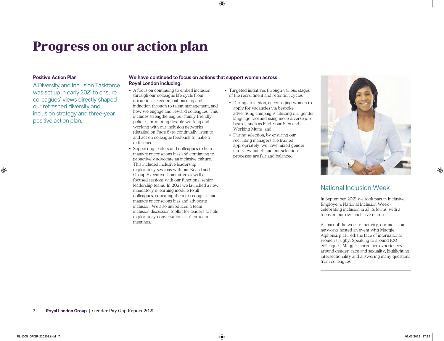# Progress on our action plan

### **Positive Action Plan**

A Diversity and Inclusion Taskforce was set up in early 2021 to ensure colleagues' views directly shaped our refreshed diversity and inclusion strategy and three-year positive action plan.

### **We have continued to focus on actions that support women across Royal London including:**

- A focus on continuing to embed inclusion through our colleague life cycle from attraction, selection, onboarding and induction through to talent management, and how we engage and reward colleagues. This includes strengthening our family friendly policies, promoting flexible working and working with our inclusion networks (detailed on Page 8) to continually listen to and act on colleague feedback to make a difference.
- Supporting leaders and colleagues to help manage unconscious bias and continuing to proactively advocate an inclusive culture. This included inclusive leadership exploratory sessions with our Board and Group Executive Committee as well as focused sessions with our functional senior leadership teams. In 2021 we launched a new mandatory e-learning module to all colleagues, educating them to recognise and manage unconscious bias and advocate inclusion. We also introduced a team inclusion discussion toolkit for leaders to hold exploratory conversations in their team meetings.
- Targeted initiatives through various stages of the recruitment and retention cycles:
	- During attraction, encouraging women to apply for vacancies via bespoke advertising campaigns, utilising our gender language tool and using more diverse job boards, such as Find Your Flex and Working Mums; and
	- During selection, by ensuring our recruiting managers are trained appropriately, we have mixed gender interview panels and our selection processes are fair and balanced.



# National Inclusion Week

In September 2021 we took part in Inclusive Employer's National Inclusion Week celebrating inclusion in all its forms, with a focus on our own inclusive culture.

As part of the week of activity, our inclusion networks hosted an event with Maggie Alphonsi, pictured, the face of international women's rugby. Speaking to around 100 colleagues, Maggie shared her experiences around gender, race and sexuality, highlighting intersectionality and answering many questions from colleagues.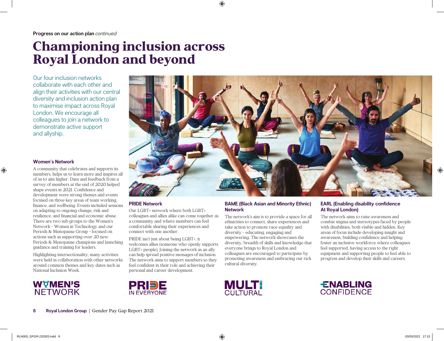# Championing inclusion across Royal London and beyond

Our four inclusion networks collaborate with each other and align their activities with our central diversity and inclusion action plan to maximise impact across Royal London. We encourage all colleagues to join a network to demonstrate active support and allyship.

## **Women's Network**

A community that celebrates and supports its members, helps us to learn more and inspires all of us to aim higher. Data and feedback from a survey of members at the end of 2020 helped shape events in 2021. Confidence and development were strong themes and events focused on three key areas of team working, finance, and wellbeing. Events included sessions on adapting to ongoing change, risk and resilience, and financial and economic abuse. There are two sub-groups to the Women's Network – Women in Technology and our Periods & Menopause Group – focused on actions such as supporting over 20 new Periods & Menopause champions and launching guidance and training for leaders.

Highlighting intersectionality, many activities were held in collaboration with other networks around common themes and key dates such as National Inclusion Week.





## **PRIDE Network**

PRDE

Our LGBT+ network where both LGBT+ colleagues and allies alike can come together as a community and where members can feel comfortable sharing their experiences and connect with one another.

PRIDE isn't just about being LGBT+, it welcomes allies (someone who openly supports LGBT+ people). Joining the network as an ally can help spread positive messages of inclusion. The network aims to support members so they feel confident in their role and achieving their personal and career development.

### **BAME (Black Asian and Minority Ethnic) Network**

The network's aim is to provide a space for all ethnicities to connect, share experiences and take action to promote race equality and diversity – educating, engaging and empowering. The network showcases the diversity, breadth of skills and knowledge that everyone brings to Royal London and colleagues are encouraged to participate by promoting awareness and embracing our rich cultural diversity.

## **EARL (Enabling disability confidence At Royal London)**

The network aims to raise awareness and combat stigma and stereotypes faced by people with disabilities, both visible and hidden. Key areas of focus include developing insight and awareness, building confidence and helping foster an inclusive workforce where colleagues feel supported, having access to the right equipment and supporting people to feel able to progress and develop their skills and careers.



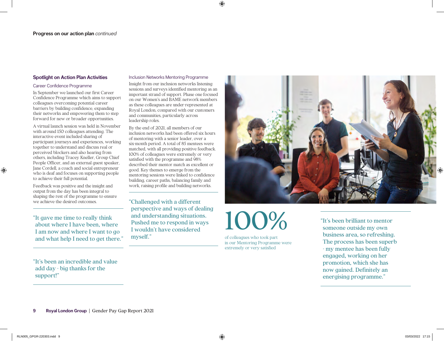### **Spotlight on Action Plan Activities**

### Career Confidence Programme

In September we launched our first Career Confidence Programme which aims to support colleagues overcoming potential career barriers by building confidence, expanding their networks and empowering them to step forward for new or broader opportunities.

A virtual launch session was held in November with around 150 colleagues attending. The interactive event included sharing of participant journeys and experiences, working together to understand and discuss real or perceived blockers and also hearing from others, including Tracey Kneller, Group Chief People Officer, and an external guest speaker, Jane Cordell, a coach and social entrepreneur who is deaf and focuses on supporting people to achieve their full potential.

Feedback was positive and the insight and output from the day has been integral to shaping the rest of the programme to ensure we achieve the desired outcomes.

"It gave me time to really think about where I have been, where I am now and where I want to go and what help I need to get there."

## "It's been an incredible and value add day - big thanks for the support!"

### Inclusion Networks Mentoring Programme

Insight from our inclusion networks listening sessions and surveys identified mentoring as an important strand of support. Phase one focused on our Women's and BAME network members as these colleagues are under-represented at Royal London, compared with our customers and communities, particularly across leadership roles.

By the end of 2021, all members of our inclusion networks had been offered six hours of mentoring with a senior leader, over a six-month period. A total of 85 mentees were matched, with all providing positive feedback. 100% of colleagues were extremely or very satisfied with the programme and 98% described their mentor match as excellent or good. Key themes to emerge from the mentoring sessions were linked to confidence building, career paths, balancing family and work, raising profile and building networks.

"Challenged with a different perspective and ways of dealing and understanding situations. Pushed me to respond in ways I wouldn't have considered myself."



100%

of colleagues who took part in our Mentoring Programme were extremely or very satisfied

"It's been brilliant to mentor someone outside my own business area, so refreshing. The process has been superb - my mentee has been fully engaged, working on her promotion, which she has now gained. Definitely an energising programme."